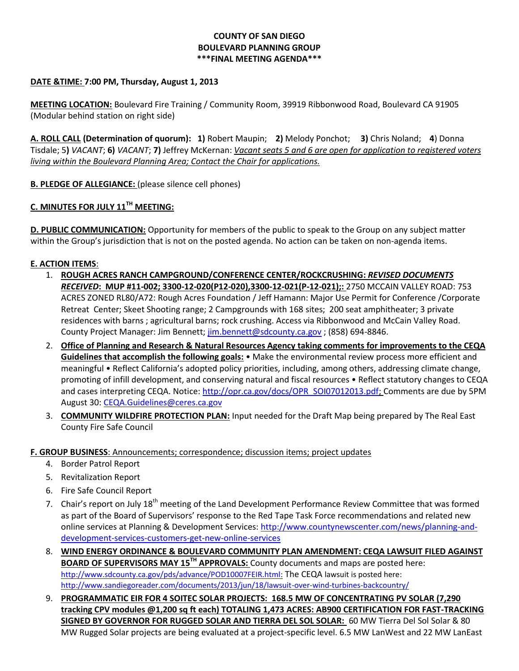## **COUNTY OF SAN DIEGO BOULEVARD PLANNING GROUP \*\*\*FINAL MEETING AGENDA\*\*\***

### **DATE &TIME: 7:00 PM, Thursday, August 1, 2013**

**MEETING LOCATION:** Boulevard Fire Training / Community Room, 39919 Ribbonwood Road, Boulevard CA 91905 (Modular behind station on right side)

**A. ROLL CALL (Determination of quorum): 1)** Robert Maupin; **2)** Melody Ponchot; **3)** Chris Noland; **4**) Donna Tisdale; 5**)** *VACANT*; **6)** *VACANT*; **7)** Jeffrey McKernan: *Vacant seats 5 and 6 are open for application to registered voters living within the Boulevard Planning Area; Contact the Chair for applications.* 

**B. PLEDGE OF ALLEGIANCE:** (please silence cell phones)

# **C. MINUTES FOR JULY 11TH MEETING:**

**D. PUBLIC COMMUNICATION:** Opportunity for members of the public to speak to the Group on any subject matter within the Group's jurisdiction that is not on the posted agenda. No action can be taken on non-agenda items.

#### **E. ACTION ITEMS**:

- 1. **ROUGH ACRES RANCH CAMPGROUND/CONFERENCE CENTER/ROCKCRUSHING:** *REVISED DOCUMENTS RECEIVED***: MUP #11-002; 3300-12-020(P12-020),3300-12-021(P-12-021);:** 2750 MCCAIN VALLEY ROAD: 753 ACRES ZONED RL80/A72: Rough Acres Foundation / Jeff Hamann: Major Use Permit for Conference /Corporate Retreat Center; Skeet Shooting range; 2 Campgrounds with 168 sites; 200 seat amphitheater; 3 private residences with barns ; agricultural barns; rock crushing. Access via Ribbonwood and McCain Valley Road. County Project Manager: Jim Bennett; [jim.bennett@sdcounty.ca.gov](mailto:jim.bennett@sdcounty.ca.gov) ; (858) 694-8846.
- 2. **Office of Planning and Research & Natural Resources Agency taking comments for improvements to the CEQA Guidelines that accomplish the following goals:** • Make the environmental review process more efficient and meaningful • Reflect California's adopted policy priorities, including, among others, addressing climate change, promoting of infill development, and conserving natural and fiscal resources • Reflect statutory changes to CEQA and cases interpreting CEQA. Notice: [http://opr.ca.gov/docs/OPR\\_SOI07012013.pdf;](http://opr.ca.gov/docs/OPR_SOI07012013.pdf) Comments are due by 5PM August 30: [CEQA.Guidelines@ceres.ca.gov](mailto:CEQA.Guidelines@ceres.ca.gov)
- 3. **COMMUNITY WILDFIRE PROTECTION PLAN:** Input needed for the Draft Map being prepared by The Real East County Fire Safe Council

#### **F. GROUP BUSINESS**: Announcements; correspondence; discussion items; project updates

- 4. Border Patrol Report
- 5. Revitalization Report
- 6. Fire Safe Council Report
- 7. Chair's report on July 18<sup>th</sup> meeting of the Land Development Performance Review Committee that was formed as part of the Board of Supervisors' response to the Red Tape Task Force recommendations and related new online services at Planning & Development Services[: http://www.countynewscenter.com/news/planning-and](http://www.countynewscenter.com/news/planning-and-development-services-customers-get-new-online-services)[development-services-customers-get-new-online-services](http://www.countynewscenter.com/news/planning-and-development-services-customers-get-new-online-services)
- 8. **WIND ENERGY ORDINANCE & BOULEVARD COMMUNITY PLAN AMENDMENT: CEQA LAWSUIT FILED AGAINST BOARD OF SUPERVISORS MAY 15TH APPROVALS:** County documents and maps are posted here: [http://www.sdcounty.ca.gov/pds/advance/POD10007FEIR.html:](http://www.sdcounty.ca.gov/pds/advance/POD10007FEIR.html) The CEQA lawsuit is posted here: <http://www.sandiegoreader.com/documents/2013/jun/18/lawsuit-over-wind-turbines-backcountry/>
- 9. **PROGRAMMATIC EIR FOR 4 SOITEC SOLAR PROJECTS: 168.5 MW OF CONCENTRATING PV SOLAR (7,290 tracking CPV modules @1,200 sq ft each) TOTALING 1,473 ACRES: AB900 CERTIFICATION FOR FAST-TRACKING SIGNED BY GOVERNOR FOR RUGGED SOLAR AND TIERRA DEL SOL SOLAR:** 60 MW Tierra Del Sol Solar & 80 MW Rugged Solar projects are being evaluated at a project-specific level. 6.5 MW LanWest and 22 MW LanEast